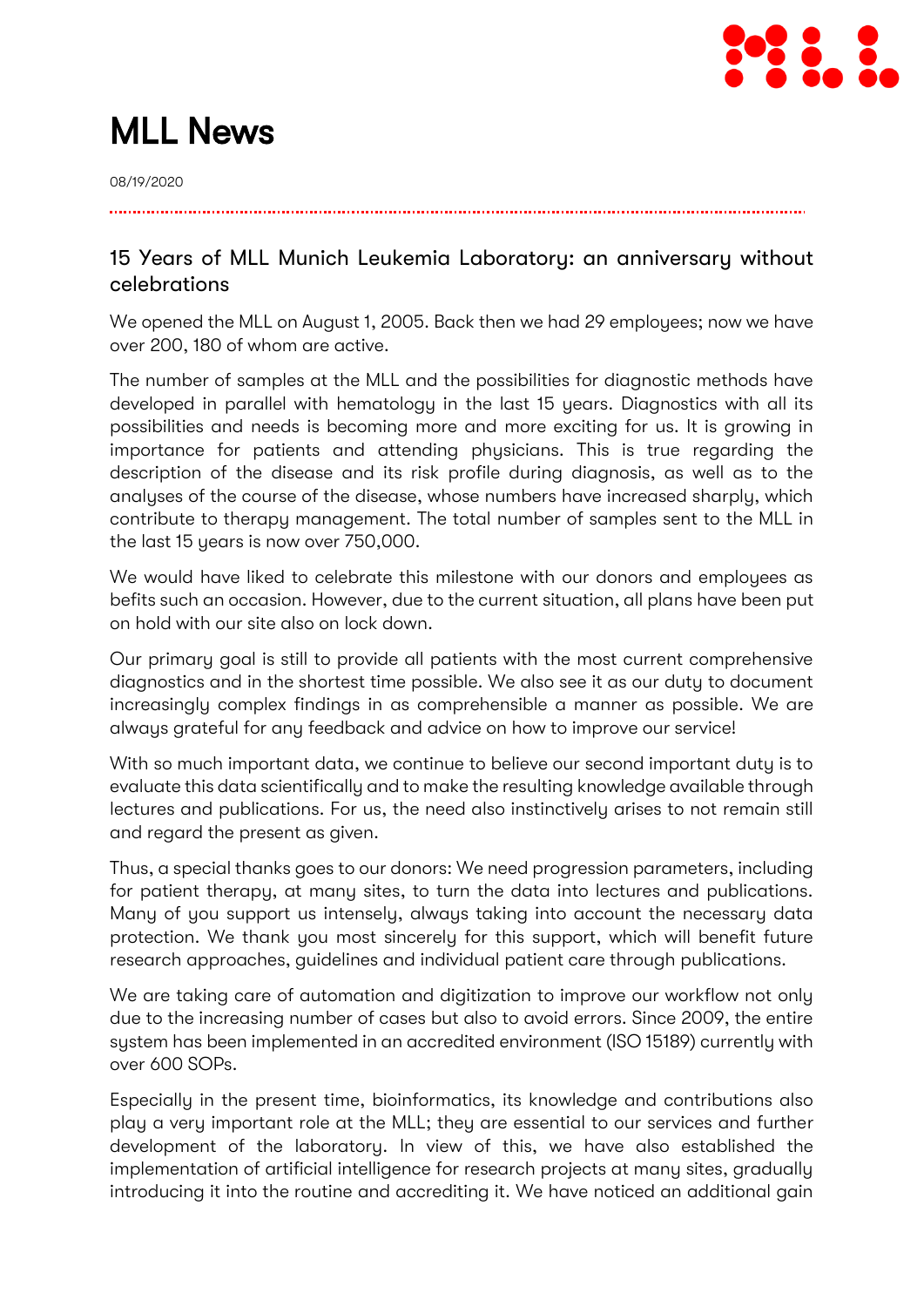

# MLL News

08/19/2020

## 15 Years of MLL Munich Leukemia Laboratory: an anniversary without celebrations

We opened the MLL on August 1, 2005. Back then we had 29 employees; now we have over 200, 180 of whom are active.

The number of samples at the MLL and the possibilities for diagnostic methods have developed in parallel with hematology in the last 15 years. Diagnostics with all its possibilities and needs is becoming more and more exciting for us. It is growing in importance for patients and attending physicians. This is true regarding the description of the disease and its risk profile during diagnosis, as well as to the analyses of the course of the disease, whose numbers have increased sharply, which contribute to therapy management. The total number of samples sent to the MLL in the last 15 years is now over 750,000.

We would have liked to celebrate this milestone with our donors and employees as befits such an occasion. However, due to the current situation, all plans have been put on hold with our site also on lock down.

Our primary goal is still to provide all patients with the most current comprehensive diagnostics and in the shortest time possible. We also see it as our duty to document increasingly complex findings in as comprehensible a manner as possible. We are always grateful for any feedback and advice on how to improve our service!

With so much important data, we continue to believe our second important duty is to evaluate this data scientifically and to make the resulting knowledge available through lectures and publications. For us, the need also instinctively arises to not remain still and regard the present as given.

Thus, a special thanks goes to our donors: We need progression parameters, including for patient therapy, at many sites, to turn the data into lectures and publications. Many of you support us intensely, always taking into account the necessary data protection. We thank you most sincerely for this support, which will benefit future research approaches, guidelines and individual patient care through publications.

We are taking care of automation and digitization to improve our workflow not only due to the increasing number of cases but also to avoid errors. Since 2009, the entire system has been implemented in an accredited environment (ISO 15189) currently with over 600 SOPs.

Especially in the present time, bioinformatics, its knowledge and contributions also play a very important role at the MLL; they are essential to our services and further development of the laboratory. In view of this, we have also established the implementation of artificial intelligence for research projects at many sites, gradually introducing it into the routine and accrediting it. We have noticed an additional gain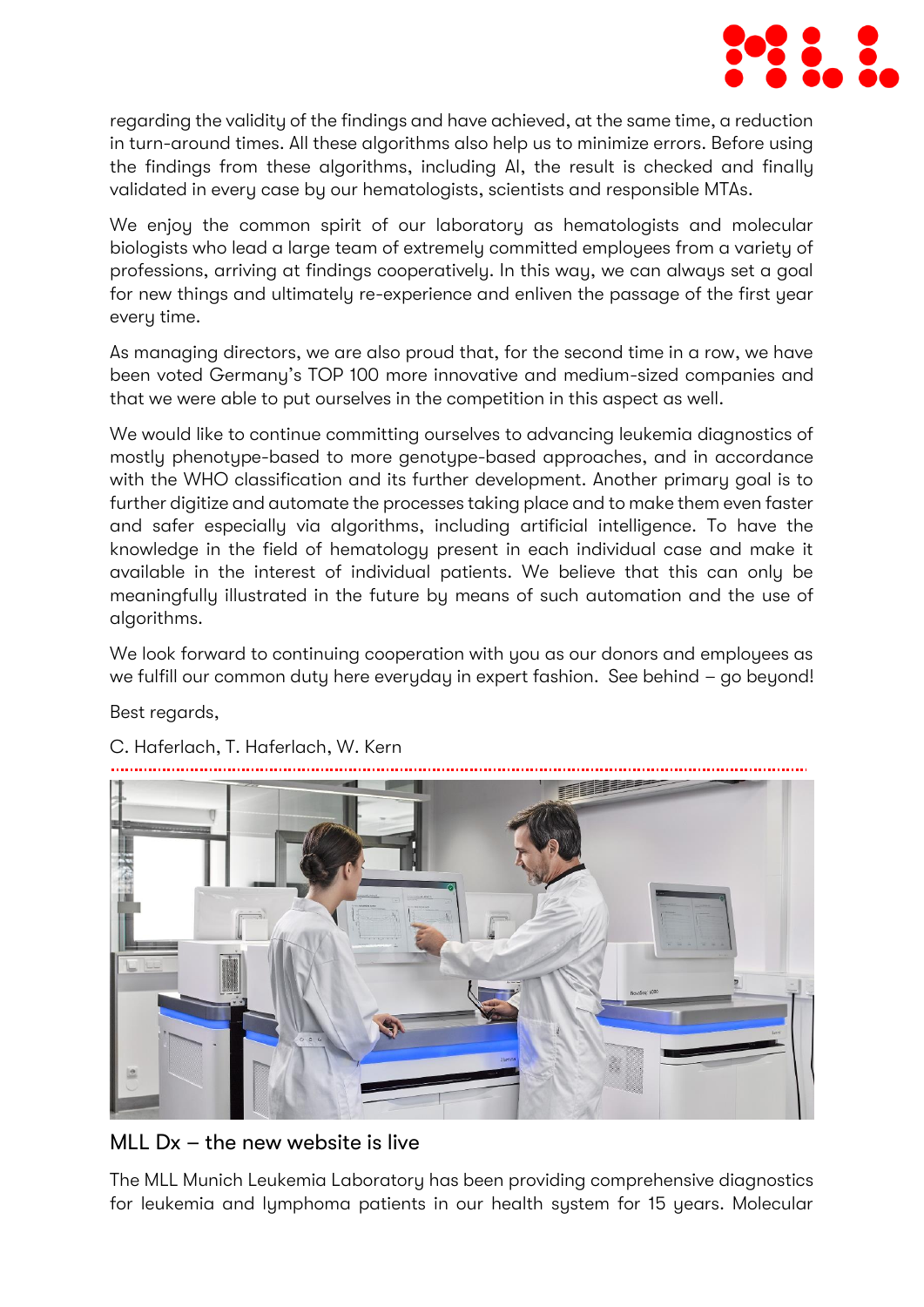

regarding the validity of the findings and have achieved, at the same time, a reduction in turn-around times. All these algorithms also help us to minimize errors. Before using the findings from these algorithms, including AI, the result is checked and finally validated in every case by our hematologists, scientists and responsible MTAs.

We enjoy the common spirit of our laboratory as hematologists and molecular biologists who lead a large team of extremely committed employees from a variety of professions, arriving at findings cooperatively. In this way, we can always set a goal for new things and ultimately re-experience and enliven the passage of the first year every time.

As managing directors, we are also proud that, for the second time in a row, we have been voted Germany's TOP 100 more innovative and medium-sized companies and that we were able to put ourselves in the competition in this aspect as well.

We would like to continue committing ourselves to advancing leukemia diagnostics of mostly phenotype-based to more genotype-based approaches, and in accordance with the WHO classification and its further development. Another primary goal is to further digitize and automate the processes taking place and to make them even faster and safer especially via algorithms, including artificial intelligence. To have the knowledge in the field of hematology present in each individual case and make it available in the interest of individual patients. We believe that this can only be meaningfully illustrated in the future by means of such automation and the use of algorithms.

We look forward to continuing cooperation with you as our donors and employees as we fulfill our common duty here everyday in expert fashion. See behind – go beyond!

Best regards,



C. Haferlach, T. Haferlach, W. Kern

MLL Dx – the new website is live

The MLL Munich Leukemia Laboratory has been providing comprehensive diagnostics for leukemia and lymphoma patients in our health system for 15 years. Molecular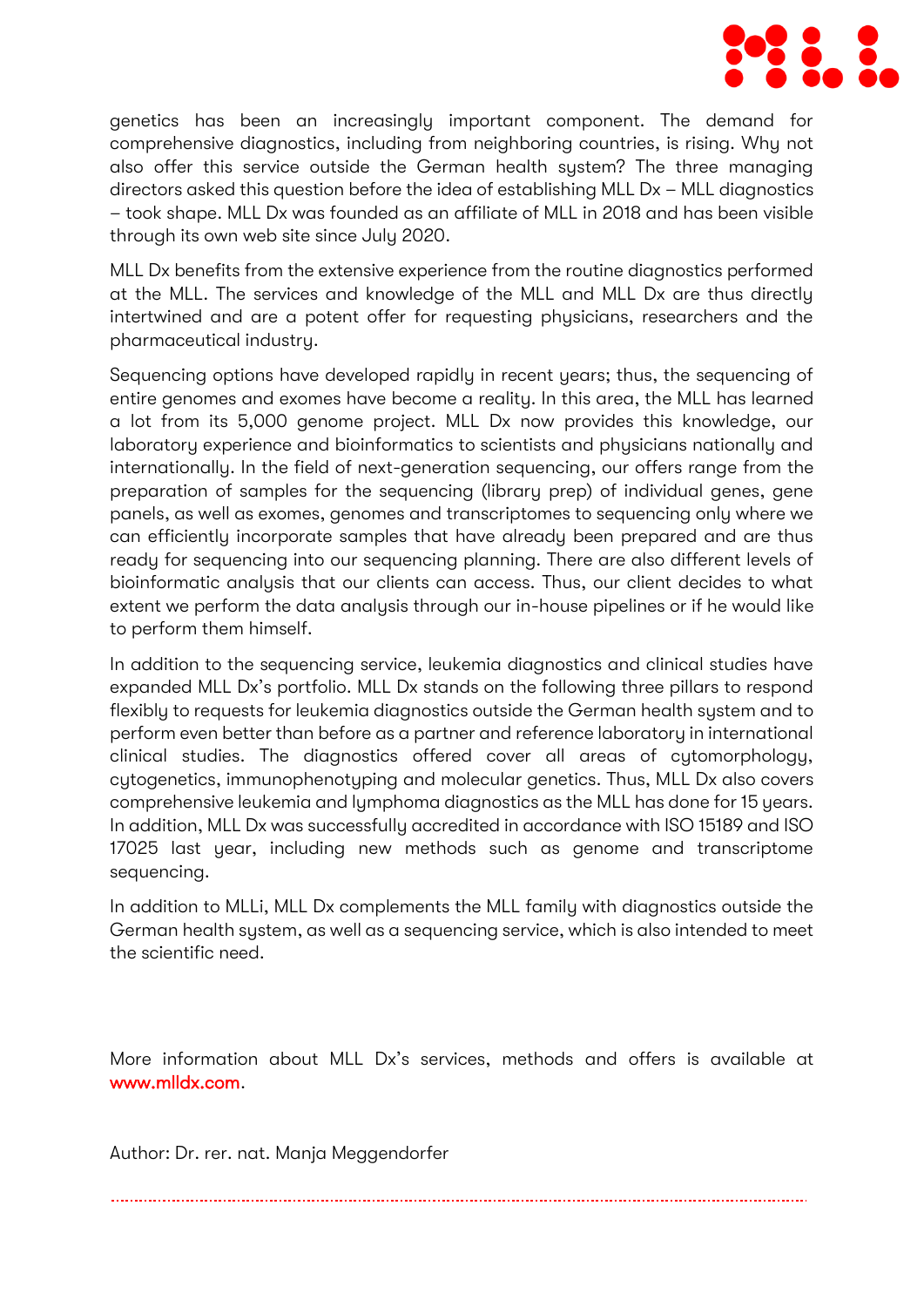

genetics has been an increasingly important component. The demand for comprehensive diagnostics, including from neighboring countries, is rising. Why not also offer this service outside the German health system? The three managing directors asked this question before the idea of establishing MLL Dx – MLL diagnostics – took shape. MLL Dx was founded as an affiliate of MLL in 2018 and has been visible through its own web site since July 2020.

MLL Dx benefits from the extensive experience from the routine diagnostics performed at the MLL. The services and knowledge of the MLL and MLL Dx are thus directly intertwined and are a potent offer for requesting physicians, researchers and the pharmaceutical industry.

Sequencing options have developed rapidly in recent years; thus, the sequencing of entire genomes and exomes have become a reality. In this area, the MLL has learned a lot from its 5,000 genome project. MLL Dx now provides this knowledge, our laboratory experience and bioinformatics to scientists and physicians nationally and internationally. In the field of next-generation sequencing, our offers range from the preparation of samples for the sequencing (library prep) of individual genes, gene panels, as well as exomes, genomes and transcriptomes to sequencing only where we can efficiently incorporate samples that have already been prepared and are thus ready for sequencing into our sequencing planning. There are also different levels of bioinformatic analysis that our clients can access. Thus, our client decides to what extent we perform the data analysis through our in-house pipelines or if he would like to perform them himself.

In addition to the sequencing service, leukemia diagnostics and clinical studies have expanded MLL Dx's portfolio. MLL Dx stands on the following three pillars to respond flexibly to requests for leukemia diagnostics outside the German health system and to perform even better than before as a partner and reference laboratory in international clinical studies. The diagnostics offered cover all areas of cytomorphology, cytogenetics, immunophenotyping and molecular genetics. Thus, MLL Dx also covers comprehensive leukemia and lymphoma diagnostics as the MLL has done for 15 years. In addition, MLL Dx was successfully accredited in accordance with ISO 15189 and ISO 17025 last year, including new methods such as genome and transcriptome sequencing.

In addition to MLLi, MLL Dx complements the MLL family with diagnostics outside the German health system, as well as a sequencing service, which is also intended to meet the scientific need.

More information about MLL Dx's services, methods and offers is available at [www.mlldx.com.](http://www.mlldx.com/)

Author: Dr. rer. nat. Manja Meggendorfer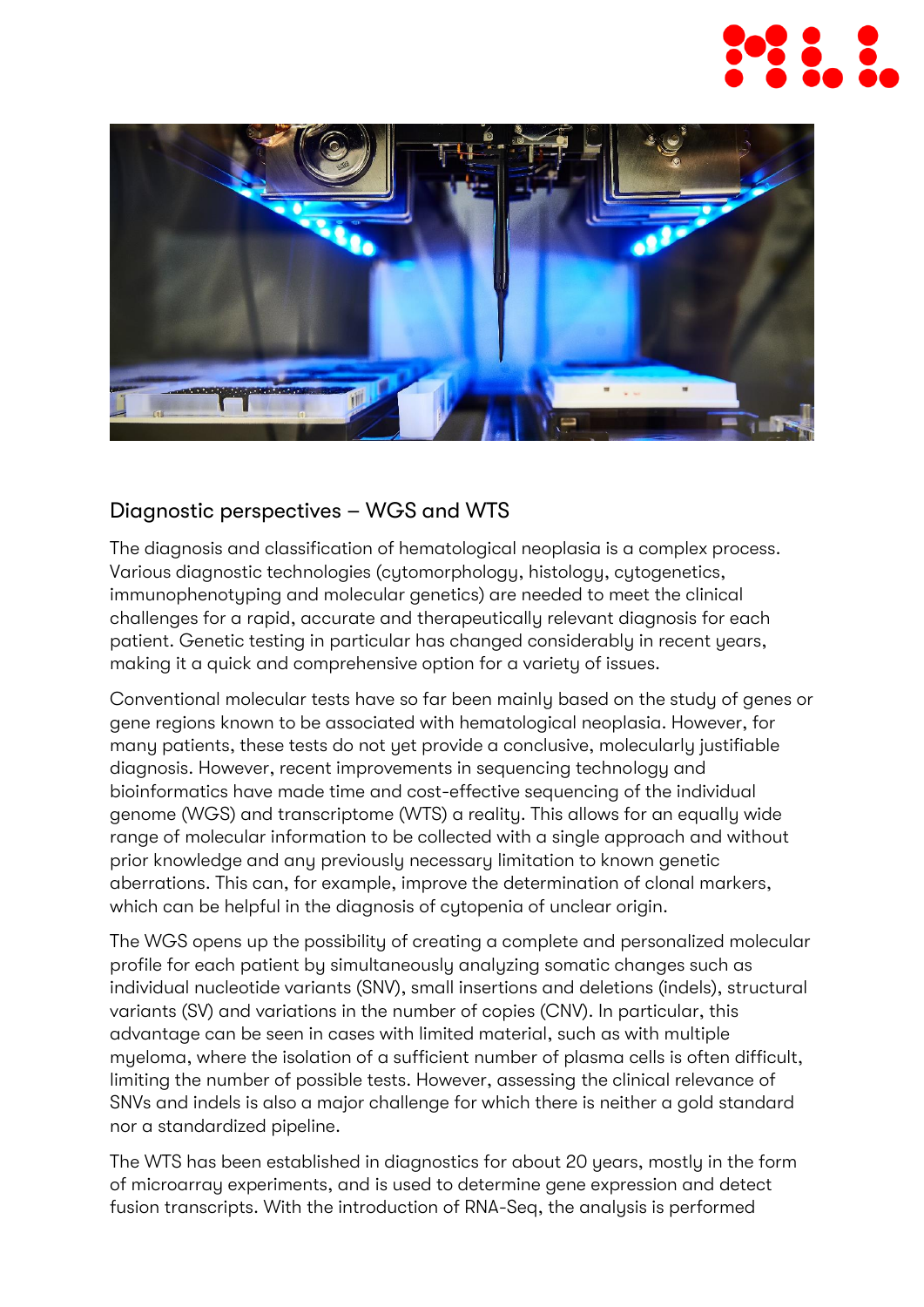



## Diagnostic perspectives – WGS and WTS

The diagnosis and classification of hematological neoplasia is a complex process. Various diagnostic technologies (cytomorphology, histology, cytogenetics, immunophenotyping and molecular genetics) are needed to meet the clinical challenges for a rapid, accurate and therapeutically relevant diagnosis for each patient. Genetic testing in particular has changed considerably in recent years, making it a quick and comprehensive option for a variety of issues.

Conventional molecular tests have so far been mainly based on the study of genes or gene regions known to be associated with hematological neoplasia. However, for many patients, these tests do not yet provide a conclusive, molecularly justifiable diagnosis. However, recent improvements in sequencing technology and bioinformatics have made time and cost-effective sequencing of the individual genome (WGS) and transcriptome (WTS) a reality. This allows for an equally wide range of molecular information to be collected with a single approach and without prior knowledge and any previously necessary limitation to known genetic aberrations. This can, for example, improve the determination of clonal markers, which can be helpful in the diagnosis of cytopenia of unclear origin.

The WGS opens up the possibility of creating a complete and personalized molecular profile for each patient by simultaneously analyzing somatic changes such as individual nucleotide variants (SNV), small insertions and deletions (indels), structural variants (SV) and variations in the number of copies (CNV). In particular, this advantage can be seen in cases with limited material, such as with multiple myeloma, where the isolation of a sufficient number of plasma cells is often difficult, limiting the number of possible tests. However, assessing the clinical relevance of SNVs and indels is also a major challenge for which there is neither a gold standard nor a standardized pipeline.

The WTS has been established in diagnostics for about 20 years, mostly in the form of microarray experiments, and is used to determine gene expression and detect fusion transcripts. With the introduction of RNA-Seq, the analysis is performed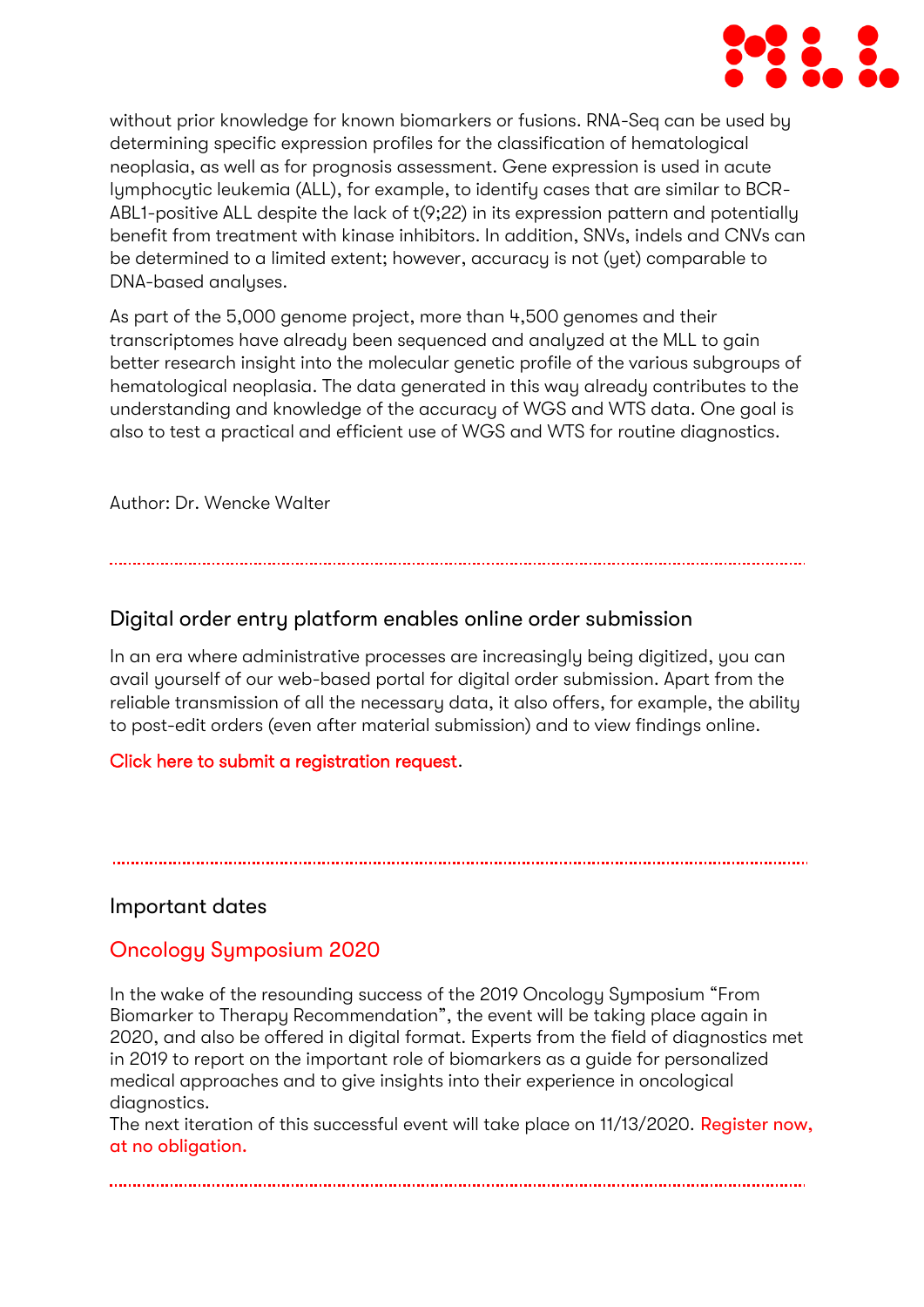

without prior knowledge for known biomarkers or fusions. RNA-Seq can be used by determining specific expression profiles for the classification of hematological neoplasia, as well as for prognosis assessment. Gene expression is used in acute lymphocytic leukemia (ALL), for example, to identify cases that are similar to BCR-ABL1-positive ALL despite the lack of t(9;22) in its expression pattern and potentially benefit from treatment with kinase inhibitors. In addition, SNVs, indels and CNVs can be determined to a limited extent; however, accuracy is not (yet) comparable to DNA-based analyses.

As part of the 5,000 genome project, more than 4,500 genomes and their transcriptomes have already been sequenced and analyzed at the MLL to gain better research insight into the molecular genetic profile of the various subgroups of hematological neoplasia. The data generated in this way already contributes to the understanding and knowledge of the accuracy of WGS and WTS data. One goal is also to test a practical and efficient use of WGS and WTS for routine diagnostics.

Author: Dr. Wencke Walter

## Digital order entry platform enables online order submission

In an era where administrative processes are increasingly being digitized, you can avail yourself of our web-based portal for digital order submission. Apart from the reliable transmission of all the necessary data, it also offers, for example, the ability to post-edit orders (even after material submission) and to view findings online.

#### [Click here to submit a registration request.](https://www.mll.com/orderentry)

### Important dates

## Oncology Symposium 2020

In the wake of the resounding success of the 2019 Oncology Symposium "From Biomarker to Therapy Recommendation", the event will be taking place again in 2020, and also be offered in digital format. Experts from the field of diagnostics met in 2019 to report on the important role of biomarkers as a guide for personalized medical approaches and to give insights into their experience in oncological diagnostics.

The next iteration of this successful event will take place on 11/13/2020. Register now, [at no obligation.](https://www.trillium.de/akademie/onkologisches-symposium-2019/anmeldung.html)